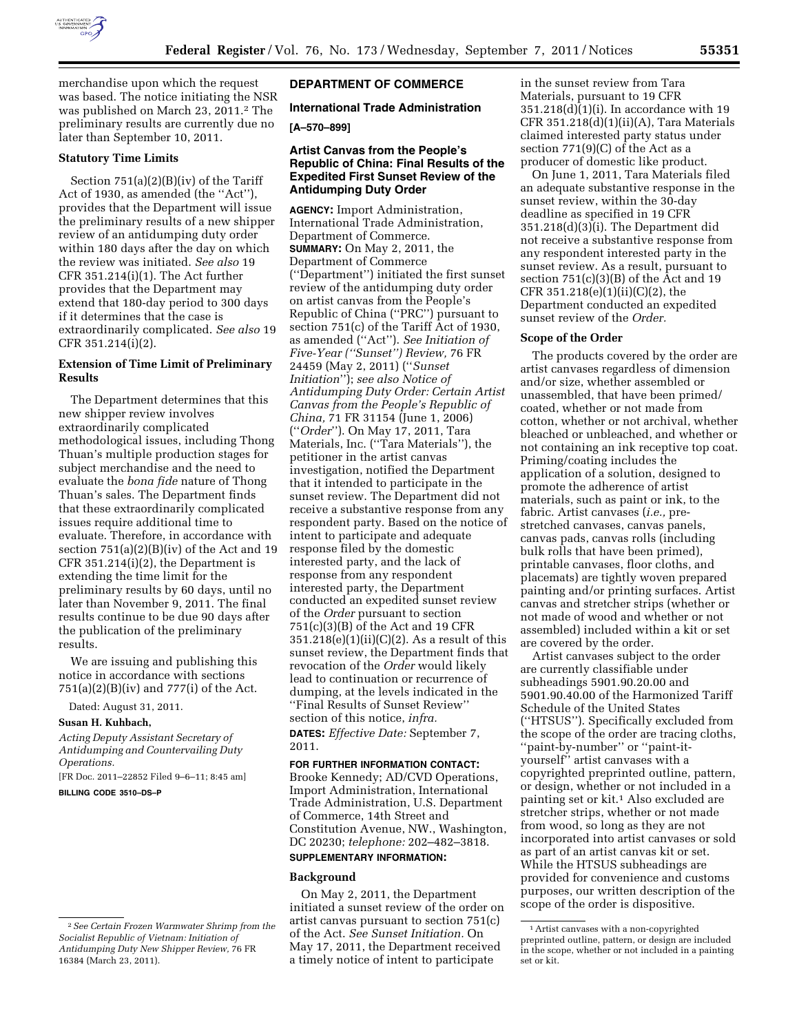

merchandise upon which the request was based. The notice initiating the NSR was published on March 23, 2011.2 The preliminary results are currently due no later than September 10, 2011.

# **Statutory Time Limits**

Section 751(a)(2)(B)(iv) of the Tariff Act of 1930, as amended (the ''Act''), provides that the Department will issue the preliminary results of a new shipper review of an antidumping duty order within 180 days after the day on which the review was initiated. *See also* 19 CFR 351.214(i)(1). The Act further provides that the Department may extend that 180-day period to 300 days if it determines that the case is extraordinarily complicated. *See also* 19 CFR 351.214(i)(2).

# **Extension of Time Limit of Preliminary Results**

The Department determines that this new shipper review involves extraordinarily complicated methodological issues, including Thong Thuan's multiple production stages for subject merchandise and the need to evaluate the *bona fide* nature of Thong Thuan's sales. The Department finds that these extraordinarily complicated issues require additional time to evaluate. Therefore, in accordance with section 751(a)(2)(B)(iv) of the Act and 19 CFR 351.214(i)(2), the Department is extending the time limit for the preliminary results by 60 days, until no later than November 9, 2011. The final results continue to be due 90 days after the publication of the preliminary results.

We are issuing and publishing this notice in accordance with sections 751(a)(2)(B)(iv) and 777(i) of the Act.

Dated: August 31, 2011.

#### **Susan H. Kuhbach,**

*Acting Deputy Assistant Secretary of Antidumping and Countervailing Duty Operations.* 

[FR Doc. 2011–22852 Filed 9–6–11; 8:45 am] **BILLING CODE 3510–DS–P** 

# **DEPARTMENT OF COMMERCE**

# **International Trade Administration**

# **[A–570–899]**

# **Artist Canvas from the People's Republic of China: Final Results of the Expedited First Sunset Review of the Antidumping Duty Order**

**AGENCY:** Import Administration, International Trade Administration, Department of Commerce. **SUMMARY:** On May 2, 2011, the Department of Commerce (''Department'') initiated the first sunset review of the antidumping duty order on artist canvas from the People's Republic of China (''PRC'') pursuant to section 751(c) of the Tariff Act of 1930, as amended (''Act''). *See Initiation of Five-Year (''Sunset'') Review,* 76 FR 24459 (May 2, 2011) (''*Sunset Initiation*''); *see also Notice of Antidumping Duty Order: Certain Artist Canvas from the People's Republic of China,* 71 FR 31154 (June 1, 2006) (''*Order*''). On May 17, 2011, Tara Materials, Inc. (''Tara Materials''), the petitioner in the artist canvas investigation, notified the Department that it intended to participate in the sunset review. The Department did not receive a substantive response from any respondent party. Based on the notice of intent to participate and adequate response filed by the domestic interested party, and the lack of response from any respondent interested party, the Department conducted an expedited sunset review of the *Order* pursuant to section 751(c)(3)(B) of the Act and 19 CFR  $351.218(e)(1)(ii)(C)(2)$ . As a result of this sunset review, the Department finds that revocation of the *Order* would likely lead to continuation or recurrence of dumping, at the levels indicated in the ''Final Results of Sunset Review'' section of this notice, *infra.* 

**DATES:** *Effective Date:* September 7, 2011.

# **FOR FURTHER INFORMATION CONTACT:**

Brooke Kennedy; AD/CVD Operations, Import Administration, International Trade Administration, U.S. Department of Commerce, 14th Street and Constitution Avenue, NW., Washington, DC 20230; *telephone:* 202–482–3818.

#### **SUPPLEMENTARY INFORMATION:**

#### **Background**

On May 2, 2011, the Department initiated a sunset review of the order on artist canvas pursuant to section 751(c) of the Act. *See Sunset Initiation.* On May 17, 2011, the Department received a timely notice of intent to participate

in the sunset review from Tara Materials, pursuant to 19 CFR 351.218(d)(1)(i). In accordance with 19 CFR  $351.218(d)(1)(ii)(A)$ , Tara Materials claimed interested party status under section  $771(9)(C)$  of the Act as a producer of domestic like product.

On June 1, 2011, Tara Materials filed an adequate substantive response in the sunset review, within the 30-day deadline as specified in 19 CFR 351.218(d)(3)(i). The Department did not receive a substantive response from any respondent interested party in the sunset review. As a result, pursuant to section 751(c)(3)(B) of the Act and 19 CFR  $351.218(e)(1)(ii)(C)(2)$ , the Department conducted an expedited sunset review of the *Order.* 

#### **Scope of the Order**

The products covered by the order are artist canvases regardless of dimension and/or size, whether assembled or unassembled, that have been primed/ coated, whether or not made from cotton, whether or not archival, whether bleached or unbleached, and whether or not containing an ink receptive top coat. Priming/coating includes the application of a solution, designed to promote the adherence of artist materials, such as paint or ink, to the fabric. Artist canvases (*i.e.,* prestretched canvases, canvas panels, canvas pads, canvas rolls (including bulk rolls that have been primed), printable canvases, floor cloths, and placemats) are tightly woven prepared painting and/or printing surfaces. Artist canvas and stretcher strips (whether or not made of wood and whether or not assembled) included within a kit or set are covered by the order.

Artist canvases subject to the order are currently classifiable under subheadings 5901.90.20.00 and 5901.90.40.00 of the Harmonized Tariff Schedule of the United States (''HTSUS''). Specifically excluded from the scope of the order are tracing cloths, ''paint-by-number'' or ''paint-ityourself'' artist canvases with a copyrighted preprinted outline, pattern, or design, whether or not included in a painting set or kit.<sup>1</sup> Also excluded are stretcher strips, whether or not made from wood, so long as they are not incorporated into artist canvases or sold as part of an artist canvas kit or set. While the HTSUS subheadings are provided for convenience and customs purposes, our written description of the scope of the order is dispositive.

<sup>2</sup>*See Certain Frozen Warmwater Shrimp from the Socialist Republic of Vietnam: Initiation of Antidumping Duty New Shipper Review,* 76 FR 16384 (March 23, 2011).

<sup>1</sup>Artist canvases with a non-copyrighted preprinted outline, pattern, or design are included in the scope, whether or not included in a painting set or kit.